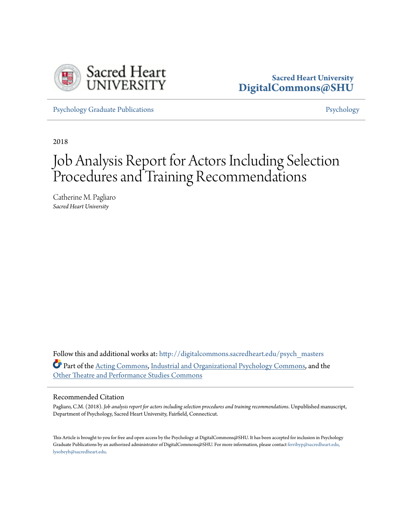

## **Sacred Heart University [DigitalCommons@SHU](http://digitalcommons.sacredheart.edu?utm_source=digitalcommons.sacredheart.edu%2Fpsych_masters%2F3&utm_medium=PDF&utm_campaign=PDFCoverPages)**

[Psychology Graduate Publications](http://digitalcommons.sacredheart.edu/psych_masters?utm_source=digitalcommons.sacredheart.edu%2Fpsych_masters%2F3&utm_medium=PDF&utm_campaign=PDFCoverPages) **[Psychology](http://digitalcommons.sacredheart.edu/psych?utm_source=digitalcommons.sacredheart.edu%2Fpsych_masters%2F3&utm_medium=PDF&utm_campaign=PDFCoverPages) Psychology** 

2018

# Job Analysis Report for Actors Including Selection Procedures and Training Recommendations

Catherine M. Pagliaro *Sacred Heart University*

Follow this and additional works at: [http://digitalcommons.sacredheart.edu/psych\\_masters](http://digitalcommons.sacredheart.edu/psych_masters?utm_source=digitalcommons.sacredheart.edu%2Fpsych_masters%2F3&utm_medium=PDF&utm_campaign=PDFCoverPages) Part of the [Acting Commons,](http://network.bepress.com/hgg/discipline/1145?utm_source=digitalcommons.sacredheart.edu%2Fpsych_masters%2F3&utm_medium=PDF&utm_campaign=PDFCoverPages) [Industrial and Organizational Psychology Commons](http://network.bepress.com/hgg/discipline/412?utm_source=digitalcommons.sacredheart.edu%2Fpsych_masters%2F3&utm_medium=PDF&utm_campaign=PDFCoverPages), and the [Other Theatre and Performance Studies Commons](http://network.bepress.com/hgg/discipline/558?utm_source=digitalcommons.sacredheart.edu%2Fpsych_masters%2F3&utm_medium=PDF&utm_campaign=PDFCoverPages)

#### Recommended Citation

Pagliaro, C.M. (2018). *Job analysis report for actors including selection procedures and training recommendations*. Unpublished manuscript, Department of Psychology, Sacred Heart University, Fairfield, Connecticut.

This Article is brought to you for free and open access by the Psychology at DigitalCommons@SHU. It has been accepted for inclusion in Psychology Graduate Publications by an authorized administrator of DigitalCommons@SHU. For more information, please contact [ferribyp@sacredheart.edu,](mailto:ferribyp@sacredheart.edu,%20lysobeyb@sacredheart.edu) [lysobeyb@sacredheart.edu.](mailto:ferribyp@sacredheart.edu,%20lysobeyb@sacredheart.edu)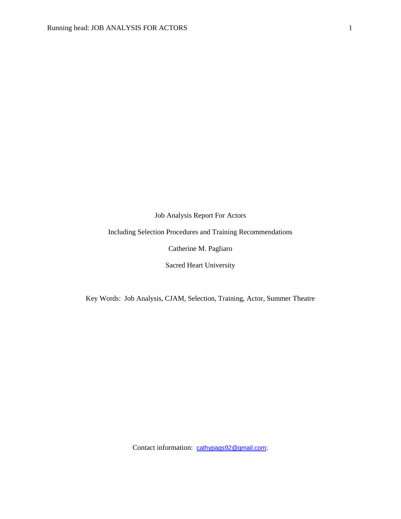Job Analysis Report For Actors

Including Selection Procedures and Training Recommendations

Catherine M. Pagliaro

Sacred Heart University

Key Words: Job Analysis, CJAM, Selection, Training, Actor, Summer Theatre

Contact information: [cathypags92@gmail.com;](mailto:cathypags92@gmail.com)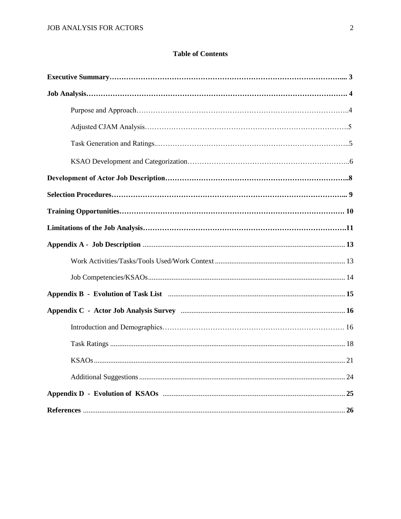## **Table of Contents**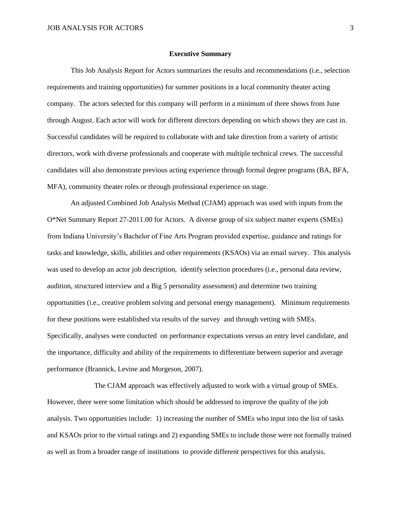#### **Executive Summary**

This Job Analysis Report for Actors summarizes the results and recommendations (i.e., selection requirements and training opportunities) for summer positions in a local community theater acting company. The actors selected for this company will perform in a minimum of three shows from June through August. Each actor will work for different directors depending on which shows they are cast in. Successful candidates will be required to collaborate with and take direction from a variety of artistic directors, work with diverse professionals and cooperate with multiple technical crews. The successful candidates will also demonstrate previous acting experience through formal degree programs (BA, BFA, MFA), community theater roles or through professional experience on stage.

An adjusted Combined Job Analysis Method (CJAM) approach was used with inputs from the O\*Net Summary Report 27-2011.00 for Actors. A diverse group of six subject matter experts (SMEs) from Indiana University's Bachelor of Fine Arts Program provided expertise, guidance and ratings for tasks and knowledge, skills, abilities and other requirements (KSAOs) via an email survey. This analysis was used to develop an actor job description, identify selection procedures (i.e., personal data review, audition, structured interview and a Big 5 personality assessment) and determine two training opportunities (i.e., creative problem solving and personal energy management). Minimum requirements for these positions were established via results of the survey and through vetting with SMEs. Specifically, analyses were conducted on performance expectations versus an entry level candidate, and the importance, difficulty and ability of the requirements to differentiate between superior and average performance (Brannick, Levine and Morgeson, 2007).

The CJAM approach was effectively adjusted to work with a virtual group of SMEs. However, there were some limitation which should be addressed to improve the quality of the job analysis. Two opportunities include: 1) increasing the number of SMEs who input into the list of tasks and KSAOs prior to the virtual ratings and 2) expanding SMEs to include those were not formally trained as well as from a broader range of institutions to provide different perspectives for this analysis.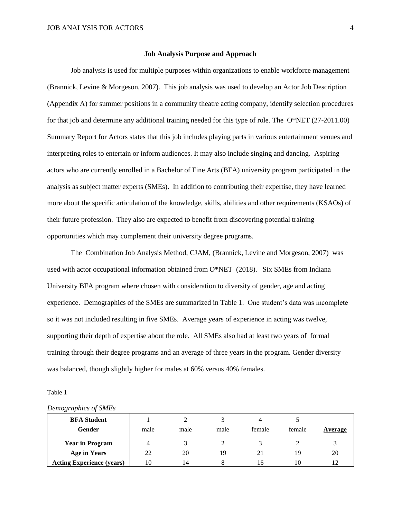#### **Job Analysis Purpose and Approach**

Job analysis is used for multiple purposes within organizations to enable workforce management (Brannick, Levine & Morgeson, 2007). This job analysis was used to develop an Actor Job Description (Appendix A) for summer positions in a community theatre acting company, identify selection procedures for that job and determine any additional training needed for this type of role. The O\*NET (27-2011.00) Summary Report for Actors states that this job includes playing parts in various entertainment venues and interpreting roles to entertain or inform audiences. It may also include singing and dancing. Aspiring actors who are currently enrolled in a Bachelor of Fine Arts (BFA) university program participated in the analysis as subject matter experts (SMEs). In addition to contributing their expertise, they have learned more about the specific articulation of the knowledge, skills, abilities and other requirements (KSAOs) of their future profession. They also are expected to benefit from discovering potential training opportunities which may complement their university degree programs.

The Combination Job Analysis Method, CJAM, (Brannick, Levine and Morgeson, 2007) was used with actor occupational information obtained from  $O^*NET$  (2018). Six SMEs from Indiana University BFA program where chosen with consideration to diversity of gender, age and acting experience. Demographics of the SMEs are summarized in Table 1. One student's data was incomplete so it was not included resulting in five SMEs. Average years of experience in acting was twelve, supporting their depth of expertise about the role. All SMEs also had at least two years of formal training through their degree programs and an average of three years in the program. Gender diversity was balanced, though slightly higher for males at 60% versus 40% females.

Table 1

| $\cdot$<br><b>BFA</b> Student<br>Gender | male | male | male | female | female | <b>Average</b> |
|-----------------------------------------|------|------|------|--------|--------|----------------|
| <b>Year in Program</b>                  | 4    |      |      |        |        |                |
| <b>Age in Years</b>                     | 22   | 20   | 19   | 21     | 19     | 20             |
| <b>Acting Experience (years)</b>        | 10   | 14   |      | 16     | 10     |                |

#### *Demographics of SMEs*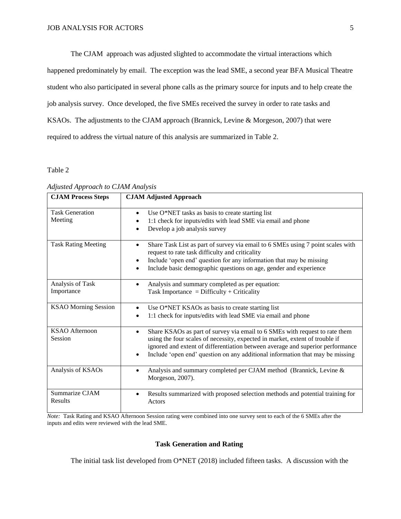The CJAM approach was adjusted slighted to accommodate the virtual interactions which

happened predominately by email. The exception was the lead SME, a second year BFA Musical Theatre student who also participated in several phone calls as the primary source for inputs and to help create the job analysis survey. Once developed, the five SMEs received the survey in order to rate tasks and KSAOs. The adjustments to the CJAM approach (Brannick, Levine & Morgeson, 2007) that were required to address the virtual nature of this analysis are summarized in Table 2.

### Table 2

| <b>CJAM Process Steps</b>         | <b>CJAM Adjusted Approach</b>                                                                                                                                                                                                                                                                                                                            |
|-----------------------------------|----------------------------------------------------------------------------------------------------------------------------------------------------------------------------------------------------------------------------------------------------------------------------------------------------------------------------------------------------------|
| <b>Task Generation</b><br>Meeting | Use O*NET tasks as basis to create starting list<br>$\bullet$<br>1:1 check for inputs/edits with lead SME via email and phone<br>Develop a job analysis survey                                                                                                                                                                                           |
| <b>Task Rating Meeting</b>        | Share Task List as part of survey via email to 6 SMEs using 7 point scales with<br>$\bullet$<br>request to rate task difficulty and criticality<br>Include 'open end' question for any information that may be missing<br>$\bullet$<br>Include basic demographic questions on age, gender and experience<br>$\bullet$                                    |
| Analysis of Task<br>Importance    | Analysis and summary completed as per equation:<br>Task Importance = Difficulty + Criticality                                                                                                                                                                                                                                                            |
| <b>KSAO</b> Morning Session       | Use O*NET KSAOs as basis to create starting list<br>$\bullet$<br>1:1 check for inputs/edits with lead SME via email and phone<br>$\bullet$                                                                                                                                                                                                               |
| KSAO Afternoon<br>Session         | Share KSAOs as part of survey via email to 6 SMEs with request to rate them<br>$\bullet$<br>using the four scales of necessity, expected in market, extent of trouble if<br>ignored and extent of differentiation between average and superior performance<br>Include 'open end' question on any additional information that may be missing<br>$\bullet$ |
| Analysis of KSAOs                 | Analysis and summary completed per CJAM method (Brannick, Levine &<br>Morgeson, 2007).                                                                                                                                                                                                                                                                   |
| Summarize CJAM<br><b>Results</b>  | Results summarized with proposed selection methods and potential training for<br>$\bullet$<br>Actors                                                                                                                                                                                                                                                     |

*Adjusted Approach to CJAM Analysis*

*Note:* Task Rating and KSAO Afternoon Session rating were combined into one survey sent to each of the 6 SMEs after the inputs and edits were reviewed with the lead SME.

#### **Task Generation and Rating**

The initial task list developed from O\*NET (2018) included fifteen tasks. A discussion with the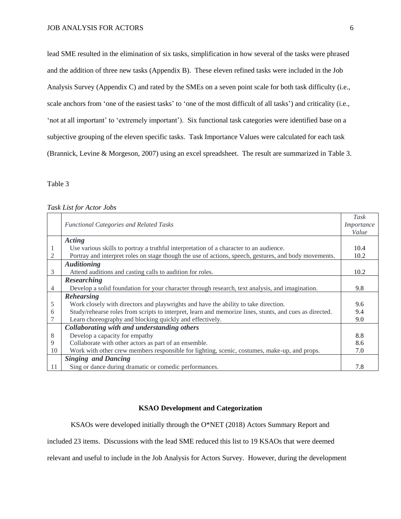lead SME resulted in the elimination of six tasks, simplification in how several of the tasks were phrased and the addition of three new tasks (Appendix B). These eleven refined tasks were included in the Job Analysis Survey (Appendix C) and rated by the SMEs on a seven point scale for both task difficulty (i.e., scale anchors from 'one of the easiest tasks' to 'one of the most difficult of all tasks') and criticality (i.e., 'not at all important' to 'extremely important'). Six functional task categories were identified base on a subjective grouping of the eleven specific tasks. Task Importance Values were calculated for each task (Brannick, Levine & Morgeson, 2007) using an excel spreadsheet. The result are summarized in Table 3.

Table 3

*Task List for Actor Jobs*

|    |                                                                                                         | Task       |
|----|---------------------------------------------------------------------------------------------------------|------------|
|    | <b>Functional Categories and Related Tasks</b>                                                          | Importance |
|    |                                                                                                         | Value      |
|    | Acting                                                                                                  |            |
|    | Use various skills to portray a truthful interpretation of a character to an audience.                  | 10.4       |
| 2  | Portray and interpret roles on stage though the use of actions, speech, gestures, and body movements.   | 10.2       |
|    | <i>Auditioning</i>                                                                                      |            |
| 3  | Attend auditions and casting calls to audition for roles.                                               | 10.2       |
|    | <b>Researching</b>                                                                                      |            |
| 4  | Develop a solid foundation for your character through research, text analysis, and imagination.         | 9.8        |
|    | <b>Rehearsing</b>                                                                                       |            |
| 5  | Work closely with directors and playwrights and have the ability to take direction.                     | 9.6        |
| 6  | Study/rehearse roles from scripts to interpret, learn and memorize lines, stunts, and cues as directed. | 9.4        |
|    | Learn choreography and blocking quickly and effectively.                                                | 9.0        |
|    | Collaborating with and understanding others                                                             |            |
| 8  | Develop a capacity for empathy                                                                          | 8.8        |
| 9  | Collaborate with other actors as part of an ensemble.                                                   | 8.6        |
| 10 | Work with other crew members responsible for lighting, scenic, costumes, make-up, and props.            | 7.0        |
|    | <b>Singing and Dancing</b>                                                                              |            |
| 11 | Sing or dance during dramatic or comedic performances.                                                  | 7.8        |

### **KSAO Development and Categorization**

KSAOs were developed initially through the O\*NET (2018) Actors Summary Report and

included 23 items. Discussions with the lead SME reduced this list to 19 KSAOs that were deemed

relevant and useful to include in the Job Analysis for Actors Survey. However, during the development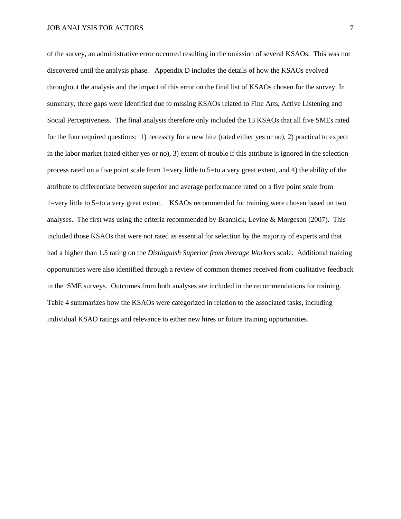of the survey, an administrative error occurred resulting in the omission of several KSAOs. This was not discovered until the analysis phase. Appendix D includes the details of how the KSAOs evolved throughout the analysis and the impact of this error on the final list of KSAOs chosen for the survey. In summary, three gaps were identified due to missing KSAOs related to Fine Arts, Active Listening and Social Perceptiveness. The final analysis therefore only included the 13 KSAOs that all five SMEs rated for the four required questions: 1) necessity for a new hire (rated either yes or no), 2) practical to expect in the labor market (rated either yes or no), 3) extent of trouble if this attribute is ignored in the selection process rated on a five point scale from 1=very little to 5=to a very great extent, and 4) the ability of the attribute to differentiate between superior and average performance rated on a five point scale from 1=very little to 5=to a very great extent. KSAOs recommended for training were chosen based on two analyses. The first was using the criteria recommended by Brannick, Levine & Morgeson (2007). This included those KSAOs that were not rated as essential for selection by the majority of experts and that had a higher than 1.5 rating on the *Distinguish Superior from Average Workers* scale. Additional training opportunities were also identified through a review of common themes received from qualitative feedback in the SME surveys. Outcomes from both analyses are included in the recommendations for training. Table 4 summarizes how the KSAOs were categorized in relation to the associated tasks, including individual KSAO ratings and relevance to either new hires or future training opportunities.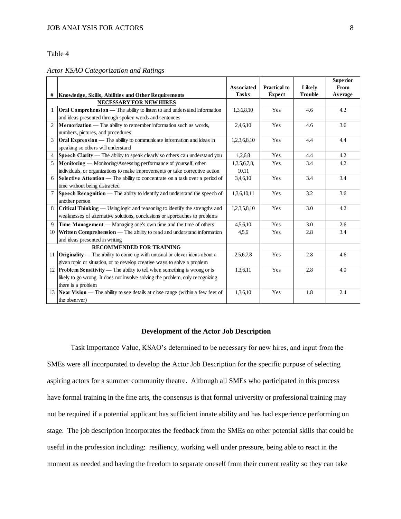#### Table 4

#### *Actor KSAO Categorization and Ratings*

|                |                                                                                       |                                   |                                      |                          | <b>Superior</b> |
|----------------|---------------------------------------------------------------------------------------|-----------------------------------|--------------------------------------|--------------------------|-----------------|
| #              |                                                                                       | <b>Associated</b><br><b>Tasks</b> | <b>Practical to</b><br><b>Expect</b> | Likely<br><b>Trouble</b> | From<br>Average |
|                | Knowledge, Skills, Abilities and Other Requirements<br><b>NECESSARY FOR NEW HIRES</b> |                                   |                                      |                          |                 |
| $\mathbf{1}$   | <b>Oral Comprehension</b> — The ability to listen to and understand information       | 1,3,6,8,10                        | Yes                                  | 4.6                      | 4.2             |
|                | and ideas presented through spoken words and sentences                                |                                   |                                      |                          |                 |
| $\overline{2}$ | Memorization — The ability to remember information such as words,                     | 2,4,6,10                          | Yes                                  | 4.6                      | 3.6             |
|                | numbers, pictures, and procedures                                                     |                                   |                                      |                          |                 |
| 3              | Oral Expression — The ability to communicate information and ideas in                 | 1,2,3,6,8,10                      | Yes                                  | 4.4                      | 4.4             |
|                | speaking so others will understand                                                    |                                   |                                      |                          |                 |
| $\overline{4}$ | Speech Clarity — The ability to speak clearly so others can understand you            | 1,2,6,8                           | Yes                                  | 4.4                      | 4.2             |
| 5              | Monitoring — Monitoring/Assessing performance of yourself, other                      | 1,3,5,6,7,8,                      | Yes                                  | 3.4                      | 4.2             |
|                | individuals, or organizations to make improvements or take corrective action          | 10,11                             |                                      |                          |                 |
| 6              | Selective Attention — The ability to concentrate on a task over a period of           | 3,4,6,10                          | Yes                                  | 3.4                      | 3.4             |
|                | time without being distracted                                                         |                                   |                                      |                          |                 |
| 7              | Speech Recognition — The ability to identify and understand the speech of             | 1,3,6,10,11                       | Yes                                  | 3.2                      | 3.6             |
|                | another person                                                                        |                                   |                                      |                          |                 |
| 8              | <b>Critical Thinking</b> — Using logic and reasoning to identify the strengths and    | 1,2,3,5,8,10                      | Yes                                  | 3.0                      | 4.2             |
|                | weaknesses of alternative solutions, conclusions or approaches to problems            |                                   |                                      |                          |                 |
| 9              | Time Management — Managing one's own time and the time of others                      | 4,5,6,10                          | Yes                                  | 3.0                      | 2.6             |
| 10             | Written Comprehension — The ability to read and understand information                | 4.5.6                             | Yes                                  | 2.8                      | 3.4             |
|                | and ideas presented in writing                                                        |                                   |                                      |                          |                 |
|                | <b>RECOMMENDED FOR TRAINING</b>                                                       |                                   |                                      |                          |                 |
| 11             | <b>Originality</b> — The ability to come up with unusual or clever ideas about a      | 2,5,6,7,8                         | Yes                                  | 2.8                      | 4.6             |
|                | given topic or situation, or to develop creative ways to solve a problem              |                                   |                                      |                          |                 |
|                | 12 <b>Problem Sensitivity</b> — The ability to tell when something is wrong or is     | 1,3,6,11                          | Yes                                  | 2.8                      | 4.0             |
|                | likely to go wrong. It does not involve solving the problem, only recognizing         |                                   |                                      |                          |                 |
|                | there is a problem                                                                    |                                   |                                      |                          |                 |
|                | 13 Near Vision — The ability to see details at close range (within a few feet of      | 1,3,6,10                          | Yes                                  | 1.8                      | 2.4             |
|                | the observer)                                                                         |                                   |                                      |                          |                 |

#### **Development of the Actor Job Description**

Task Importance Value, KSAO's determined to be necessary for new hires, and input from the SMEs were all incorporated to develop the Actor Job Description for the specific purpose of selecting aspiring actors for a summer community theatre. Although all SMEs who participated in this process have formal training in the fine arts, the consensus is that formal university or professional training may not be required if a potential applicant has sufficient innate ability and has had experience performing on stage. The job description incorporates the feedback from the SMEs on other potential skills that could be useful in the profession including: resiliency, working well under pressure, being able to react in the moment as needed and having the freedom to separate oneself from their current reality so they can take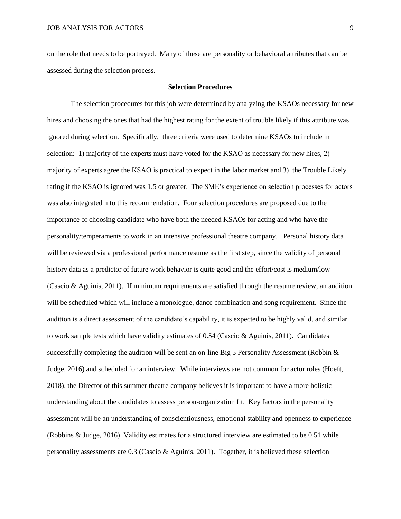on the role that needs to be portrayed. Many of these are personality or behavioral attributes that can be assessed during the selection process.

#### **Selection Procedures**

The selection procedures for this job were determined by analyzing the KSAOs necessary for new hires and choosing the ones that had the highest rating for the extent of trouble likely if this attribute was ignored during selection. Specifically, three criteria were used to determine KSAOs to include in selection: 1) majority of the experts must have voted for the KSAO as necessary for new hires, 2) majority of experts agree the KSAO is practical to expect in the labor market and 3) the Trouble Likely rating if the KSAO is ignored was 1.5 or greater. The SME's experience on selection processes for actors was also integrated into this recommendation. Four selection procedures are proposed due to the importance of choosing candidate who have both the needed KSAOs for acting and who have the personality/temperaments to work in an intensive professional theatre company. Personal history data will be reviewed via a professional performance resume as the first step, since the validity of personal history data as a predictor of future work behavior is quite good and the effort/cost is medium/low (Cascio & Aguinis, 2011). If minimum requirements are satisfied through the resume review, an audition will be scheduled which will include a monologue, dance combination and song requirement. Since the audition is a direct assessment of the candidate's capability, it is expected to be highly valid, and similar to work sample tests which have validity estimates of 0.54 (Cascio & Aguinis, 2011). Candidates successfully completing the audition will be sent an on-line Big 5 Personality Assessment (Robbin & Judge, 2016) and scheduled for an interview. While interviews are not common for actor roles (Hoeft, 2018), the Director of this summer theatre company believes it is important to have a more holistic understanding about the candidates to assess person-organization fit. Key factors in the personality assessment will be an understanding of conscientiousness, emotional stability and openness to experience (Robbins & Judge, 2016). Validity estimates for a structured interview are estimated to be 0.51 while personality assessments are 0.3 (Cascio & Aguinis, 2011). Together, it is believed these selection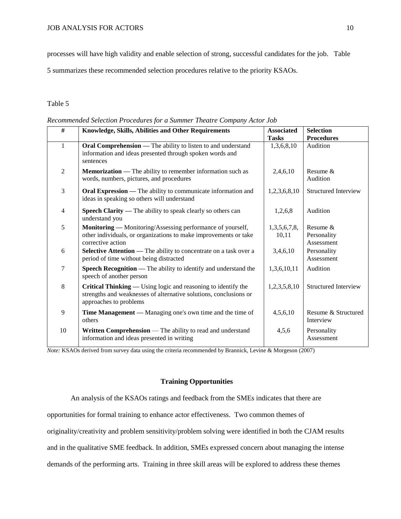processes will have high validity and enable selection of strong, successful candidates for the job. Table

5 summarizes these recommended selection procedures relative to the priority KSAOs.

#### Table 5

| #              | Knowledge, Skills, Abilities and Other Requirements                                                                                                                 | <b>Associated</b><br><b>Tasks</b> | <b>Selection</b><br><b>Procedures</b>    |
|----------------|---------------------------------------------------------------------------------------------------------------------------------------------------------------------|-----------------------------------|------------------------------------------|
| $\mathbf{1}$   | Oral Comprehension — The ability to listen to and understand<br>information and ideas presented through spoken words and<br>sentences                               | 1,3,6,8,10                        | Audition                                 |
| $\overline{2}$ | <b>Memorization</b> — The ability to remember information such as<br>words, numbers, pictures, and procedures                                                       | 2,4,6,10                          | Resume &<br>Audition                     |
| 3              | <b>Oral Expression</b> — The ability to communicate information and<br>ideas in speaking so others will understand                                                  | 1,2,3,6,8,10                      | <b>Structured Interview</b>              |
| $\overline{4}$ | <b>Speech Clarity</b> — The ability to speak clearly so others can<br>understand you                                                                                | 1,2,6,8                           | Audition                                 |
| 5              | <b>Monitoring</b> — Monitoring/Assessing performance of yourself,<br>other individuals, or organizations to make improvements or take<br>corrective action          | 1,3,5,6,7,8,<br>10,11             | Resume $\&$<br>Personality<br>Assessment |
| 6              | <b>Selective Attention</b> — The ability to concentrate on a task over a<br>period of time without being distracted                                                 | 3,4,6,10                          | Personality<br>Assessment                |
| 7              | Speech Recognition — The ability to identify and understand the<br>speech of another person                                                                         | 1,3,6,10,11                       | Audition                                 |
| 8              | <b>Critical Thinking</b> — Using logic and reasoning to identify the<br>strengths and weaknesses of alternative solutions, conclusions or<br>approaches to problems | 1,2,3,5,8,10                      | <b>Structured Interview</b>              |
| 9              | Time Management — Managing one's own time and the time of<br>others                                                                                                 | 4,5,6,10                          | Resume & Structured<br>Interview         |
| 10             | Written Comprehension — The ability to read and understand<br>information and ideas presented in writing                                                            | 4,5,6                             | Personality<br>Assessment                |

| Recommended Selection Procedures for a Summer Theatre Company Actor Job |  |  |  |
|-------------------------------------------------------------------------|--|--|--|
|-------------------------------------------------------------------------|--|--|--|

*Note:* KSAOs derived from survey data using the criteria recommended by Brannick, Levine & Morgeson (2007)

#### **Training Opportunities**

An analysis of the KSAOs ratings and feedback from the SMEs indicates that there are

opportunities for formal training to enhance actor effectiveness. Two common themes of

originality/creativity and problem sensitivity/problem solving were identified in both the CJAM results

and in the qualitative SME feedback. In addition, SMEs expressed concern about managing the intense

demands of the performing arts. Training in three skill areas will be explored to address these themes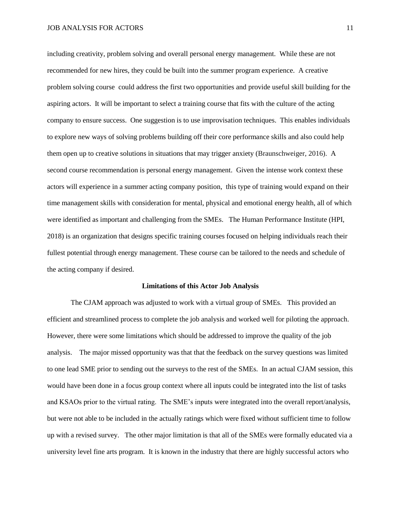including creativity, problem solving and overall personal energy management. While these are not recommended for new hires, they could be built into the summer program experience. A creative problem solving course could address the first two opportunities and provide useful skill building for the aspiring actors. It will be important to select a training course that fits with the culture of the acting company to ensure success. One suggestion is to use improvisation techniques. This enables individuals to explore new ways of solving problems building off their core performance skills and also could help them open up to creative solutions in situations that may trigger anxiety (Braunschweiger, 2016). A second course recommendation is personal energy management. Given the intense work context these actors will experience in a summer acting company position, this type of training would expand on their time management skills with consideration for mental, physical and emotional energy health, all of which were identified as important and challenging from the SMEs. The Human Performance Institute (HPI, 2018) is an organization that designs specific training courses focused on helping individuals reach their fullest potential through energy management. These course can be tailored to the needs and schedule of the acting company if desired.

#### **Limitations of this Actor Job Analysis**

The CJAM approach was adjusted to work with a virtual group of SMEs. This provided an efficient and streamlined process to complete the job analysis and worked well for piloting the approach. However, there were some limitations which should be addressed to improve the quality of the job analysis. The major missed opportunity was that that the feedback on the survey questions was limited to one lead SME prior to sending out the surveys to the rest of the SMEs. In an actual CJAM session, this would have been done in a focus group context where all inputs could be integrated into the list of tasks and KSAOs prior to the virtual rating. The SME's inputs were integrated into the overall report/analysis, but were not able to be included in the actually ratings which were fixed without sufficient time to follow up with a revised survey. The other major limitation is that all of the SMEs were formally educated via a university level fine arts program. It is known in the industry that there are highly successful actors who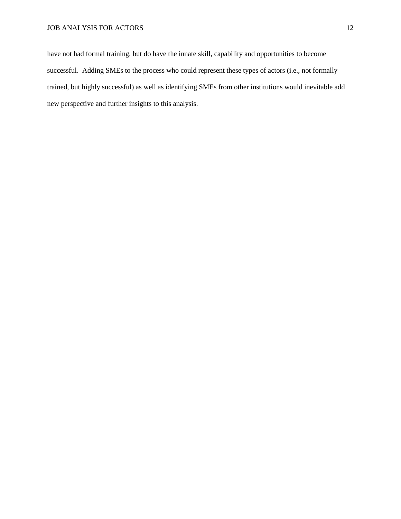have not had formal training, but do have the innate skill, capability and opportunities to become successful. Adding SMEs to the process who could represent these types of actors (i.e., not formally trained, but highly successful) as well as identifying SMEs from other institutions would inevitable add new perspective and further insights to this analysis.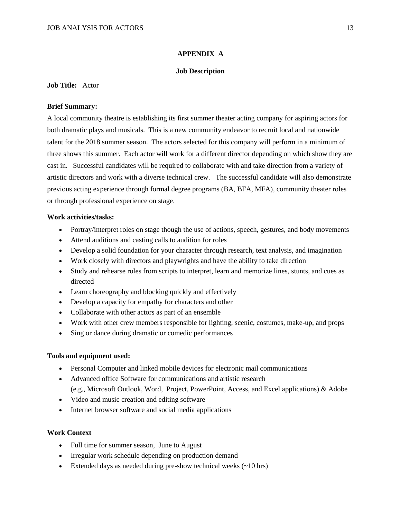## **APPENDIX A**

#### **Job Description**

#### **Job Title:** Actor

#### **Brief Summary:**

A local community theatre is establishing its first summer theater acting company for aspiring actors for both dramatic plays and musicals. This is a new community endeavor to recruit local and nationwide talent for the 2018 summer season. The actors selected for this company will perform in a minimum of three shows this summer. Each actor will work for a different director depending on which show they are cast in. Successful candidates will be required to collaborate with and take direction from a variety of artistic directors and work with a diverse technical crew. The successful candidate will also demonstrate previous acting experience through formal degree programs (BA, BFA, MFA), community theater roles or through professional experience on stage.

#### **Work activities/tasks:**

- Portray/interpret roles on stage though the use of actions, speech, gestures, and body movements
- Attend auditions and casting calls to audition for roles
- Develop a solid foundation for your character through research, text analysis, and imagination
- Work closely with directors and playwrights and have the ability to take direction
- Study and rehearse roles from scripts to interpret, learn and memorize lines, stunts, and cues as directed
- Learn choreography and blocking quickly and effectively
- Develop a capacity for empathy for characters and other
- Collaborate with other actors as part of an ensemble
- Work with other crew members responsible for lighting, scenic, costumes, make-up, and props
- Sing or dance during dramatic or comedic performances

#### **Tools and equipment used:**

- Personal Computer and linked mobile devices for electronic mail communications
- Advanced office Software for communications and artistic research
	- (e.g., Microsoft Outlook, Word, Project, PowerPoint, Access, and Excel applications) & Adobe
- Video and music creation and editing software
- Internet browser software and social media applications

## **Work Context**

- Full time for summer season, June to August
- Irregular work schedule depending on production demand
- Extended days as needed during pre-show technical weeks  $(-10 \text{ hrs})$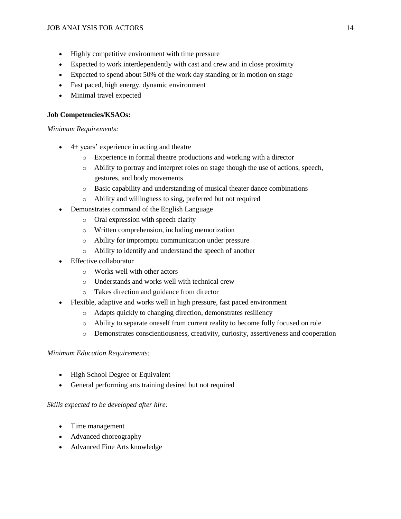- Highly competitive environment with time pressure
- Expected to work interdependently with cast and crew and in close proximity
- Expected to spend about 50% of the work day standing or in motion on stage
- Fast paced, high energy, dynamic environment
- Minimal travel expected

## **Job Competencies/KSAOs:**

*Minimum Requirements:* 

- 4+ years' experience in acting and theatre
	- o Experience in formal theatre productions and working with a director
	- o Ability to portray and interpret roles on stage though the use of actions, speech, gestures, and body movements
	- o Basic capability and understanding of musical theater dance combinations
	- o Ability and willingness to sing, preferred but not required
- Demonstrates command of the English Language
	- o Oral expression with speech clarity
	- o Written comprehension, including memorization
	- o Ability for impromptu communication under pressure
	- o Ability to identify and understand the speech of another
- Effective collaborator
	- o Works well with other actors
	- o Understands and works well with technical crew
	- o Takes direction and guidance from director
- Flexible, adaptive and works well in high pressure, fast paced environment
	- o Adapts quickly to changing direction, demonstrates resiliency
	- o Ability to separate oneself from current reality to become fully focused on role
	- o Demonstrates conscientiousness, creativity, curiosity, assertiveness and cooperation

## *Minimum Education Requirements:*

- High School Degree or Equivalent
- General performing arts training desired but not required

## *Skills expected to be developed after hire:*

- Time management
- Advanced choreography
- Advanced Fine Arts knowledge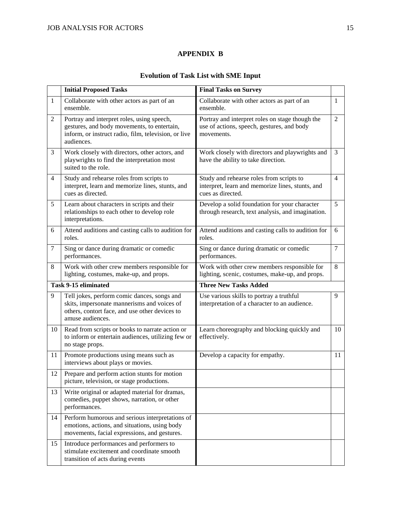## **APPENDIX B**

## **Evolution of Task List with SME Input**

|                | <b>Initial Proposed Tasks</b>                                                                                                                                    | <b>Final Tasks on Survey</b>                                                                                      |                |
|----------------|------------------------------------------------------------------------------------------------------------------------------------------------------------------|-------------------------------------------------------------------------------------------------------------------|----------------|
| $\mathbf{1}$   | Collaborate with other actors as part of an<br>ensemble.                                                                                                         | Collaborate with other actors as part of an<br>ensemble.                                                          | 1              |
| 2              | Portray and interpret roles, using speech,<br>gestures, and body movements, to entertain,<br>inform, or instruct radio, film, television, or live<br>audiences.  | Portray and interpret roles on stage though the<br>use of actions, speech, gestures, and body<br>movements.       |                |
| 3              | Work closely with directors, other actors, and<br>playwrights to find the interpretation most<br>suited to the role.                                             | Work closely with directors and playwrights and<br>have the ability to take direction.                            | 3              |
| $\overline{4}$ | Study and rehearse roles from scripts to<br>interpret, learn and memorize lines, stunts, and<br>cues as directed.                                                | Study and rehearse roles from scripts to<br>interpret, learn and memorize lines, stunts, and<br>cues as directed. | $\overline{4}$ |
| 5              | Learn about characters in scripts and their<br>relationships to each other to develop role<br>interpretations.                                                   | Develop a solid foundation for your character<br>through research, text analysis, and imagination.                | 5              |
| 6              | Attend auditions and casting calls to audition for<br>roles.                                                                                                     | Attend auditions and casting calls to audition for<br>roles.                                                      | 6              |
| 7              | Sing or dance during dramatic or comedic<br>performances.                                                                                                        | Sing or dance during dramatic or comedic<br>performances.                                                         | 7              |
| 8              | Work with other crew members responsible for<br>lighting, costumes, make-up, and props.                                                                          | Work with other crew members responsible for<br>lighting, scenic, costumes, make-up, and props.                   | $\,8\,$        |
|                | <b>Task 9-15 eliminated</b>                                                                                                                                      | <b>Three New Tasks Added</b>                                                                                      |                |
| 9              | Tell jokes, perform comic dances, songs and<br>skits, impersonate mannerisms and voices of<br>others, contort face, and use other devices to<br>amuse audiences. | Use various skills to portray a truthful<br>interpretation of a character to an audience.                         | 9              |
| 10             | Read from scripts or books to narrate action or<br>to inform or entertain audiences, utilizing few or<br>no stage props.                                         | Learn choreography and blocking quickly and<br>effectively.                                                       | 10             |
| 11             | Promote productions using means such as<br>interviews about plays or movies.                                                                                     | Develop a capacity for empathy.                                                                                   | 11             |
| 12             | Prepare and perform action stunts for motion<br>picture, television, or stage productions.                                                                       |                                                                                                                   |                |
| 13             | Write original or adapted material for dramas,<br>comedies, puppet shows, narration, or other<br>performances.                                                   |                                                                                                                   |                |
| 14             | Perform humorous and serious interpretations of<br>emotions, actions, and situations, using body<br>movements, facial expressions, and gestures.                 |                                                                                                                   |                |
| 15             | Introduce performances and performers to<br>stimulate excitement and coordinate smooth<br>transition of acts during events                                       |                                                                                                                   |                |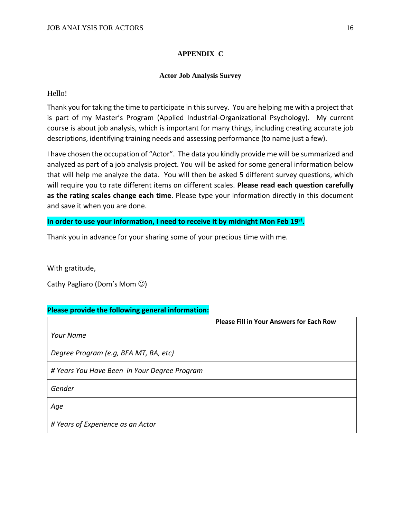## **APPENDIX C**

## **Actor Job Analysis Survey**

## Hello!

Thank you for taking the time to participate in this survey. You are helping me with a project that is part of my Master's Program (Applied Industrial-Organizational Psychology). My current course is about job analysis, which is important for many things, including creating accurate job descriptions, identifying training needs and assessing performance (to name just a few).

I have chosen the occupation of "Actor". The data you kindly provide me will be summarized and analyzed as part of a job analysis project. You will be asked for some general information below that will help me analyze the data. You will then be asked 5 different survey questions, which will require you to rate different items on different scales. **Please read each question carefully as the rating scales change each time**. Please type your information directly in this document and save it when you are done.

## **In order to use your information, I need to receive it by midnight Mon Feb 19st .**

Thank you in advance for your sharing some of your precious time with me.

With gratitude,

Cathy Pagliaro (Dom's Mom ☺)

## **Please provide the following general information:**

|                                              | <b>Please Fill in Your Answers for Each Row</b> |
|----------------------------------------------|-------------------------------------------------|
| <b>Your Name</b>                             |                                                 |
| Degree Program (e.g, BFA MT, BA, etc)        |                                                 |
| # Years You Have Been in Your Degree Program |                                                 |
| Gender                                       |                                                 |
| Age                                          |                                                 |
| # Years of Experience as an Actor            |                                                 |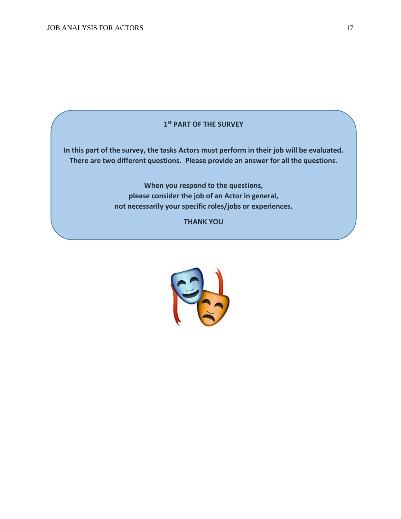## **1 st PART OF THE SURVEY**

**In this part of the survey, the tasks Actors must perform in their job will be evaluated. There are two different questions. Please provide an answer for all the questions.**

> **When you respond to the questions, please consider the job of an Actor in general, not necessarily your specific roles/jobs or experiences.**

> > **THANK YOU**

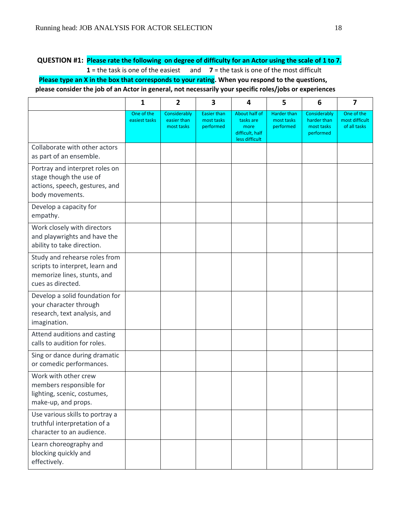**QUESTION #1: Please rate the following on degree of difficulty for an Actor using the scale of 1 to 7.**

 **1** = the task is one of the easiest and **7** = the task is one of the most difficult **Please type an X in the box that corresponds to your rating. When you respond to the questions, please consider the job of an Actor in general, not necessarily your specific roles/jobs or experiences**

|                                                                                                                      | 1                           | $\overline{2}$                            | 3                                             | 4                                                                       | 5                                      | 6                                                      | 7                                            |
|----------------------------------------------------------------------------------------------------------------------|-----------------------------|-------------------------------------------|-----------------------------------------------|-------------------------------------------------------------------------|----------------------------------------|--------------------------------------------------------|----------------------------------------------|
|                                                                                                                      | One of the<br>easiest tasks | Considerably<br>easier than<br>most tasks | <b>Easier than</b><br>most tasks<br>performed | About half of<br>tasks are<br>more<br>difficult, half<br>less difficult | Harder than<br>most tasks<br>performed | Considerably<br>harder than<br>most tasks<br>performed | One of the<br>most difficult<br>of all tasks |
| Collaborate with other actors<br>as part of an ensemble.                                                             |                             |                                           |                                               |                                                                         |                                        |                                                        |                                              |
| Portray and interpret roles on<br>stage though the use of<br>actions, speech, gestures, and<br>body movements.       |                             |                                           |                                               |                                                                         |                                        |                                                        |                                              |
| Develop a capacity for<br>empathy.                                                                                   |                             |                                           |                                               |                                                                         |                                        |                                                        |                                              |
| Work closely with directors<br>and playwrights and have the<br>ability to take direction.                            |                             |                                           |                                               |                                                                         |                                        |                                                        |                                              |
| Study and rehearse roles from<br>scripts to interpret, learn and<br>memorize lines, stunts, and<br>cues as directed. |                             |                                           |                                               |                                                                         |                                        |                                                        |                                              |
| Develop a solid foundation for<br>your character through<br>research, text analysis, and<br>imagination.             |                             |                                           |                                               |                                                                         |                                        |                                                        |                                              |
| Attend auditions and casting<br>calls to audition for roles.                                                         |                             |                                           |                                               |                                                                         |                                        |                                                        |                                              |
| Sing or dance during dramatic<br>or comedic performances.                                                            |                             |                                           |                                               |                                                                         |                                        |                                                        |                                              |
| Work with other crew<br>members responsible for<br>lighting, scenic, costumes,<br>make-up, and props.                |                             |                                           |                                               |                                                                         |                                        |                                                        |                                              |
| Use various skills to portray a<br>truthful interpretation of a<br>character to an audience.                         |                             |                                           |                                               |                                                                         |                                        |                                                        |                                              |
| Learn choreography and<br>blocking quickly and<br>effectively.                                                       |                             |                                           |                                               |                                                                         |                                        |                                                        |                                              |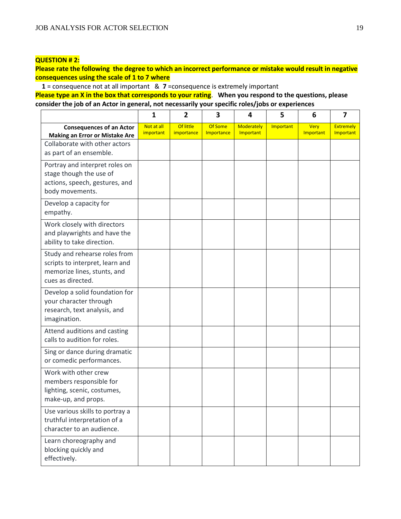### **QUESTION # 2:**

**Please rate the following the degree to which an incorrect performance or mistake would result in negative consequences using the scale of 1 to 7 where** 

**1** = consequence not at all important & **7** =consequence is extremely important

**Please type an X in the box that corresponds to your rating**. **When you respond to the questions, please consider the job of an Actor in general, not necessarily your specific roles/jobs or experiences**

|                                                                                                                      | $\mathbf{1}$            | $\overline{2}$          | 3                     | 4                       | 5         | 6                 | $\overline{\mathbf{z}}$       |
|----------------------------------------------------------------------------------------------------------------------|-------------------------|-------------------------|-----------------------|-------------------------|-----------|-------------------|-------------------------------|
| <b>Consequences of an Actor</b><br><b>Making an Error or Mistake Are</b>                                             | Not at all<br>important | Of little<br>importance | Of Some<br>Importance | Moderately<br>Important | Important | Very<br>Important | <b>Extremely</b><br>Important |
| Collaborate with other actors<br>as part of an ensemble.                                                             |                         |                         |                       |                         |           |                   |                               |
| Portray and interpret roles on<br>stage though the use of<br>actions, speech, gestures, and<br>body movements.       |                         |                         |                       |                         |           |                   |                               |
| Develop a capacity for<br>empathy.                                                                                   |                         |                         |                       |                         |           |                   |                               |
| Work closely with directors<br>and playwrights and have the<br>ability to take direction.                            |                         |                         |                       |                         |           |                   |                               |
| Study and rehearse roles from<br>scripts to interpret, learn and<br>memorize lines, stunts, and<br>cues as directed. |                         |                         |                       |                         |           |                   |                               |
| Develop a solid foundation for<br>your character through<br>research, text analysis, and<br>imagination.             |                         |                         |                       |                         |           |                   |                               |
| Attend auditions and casting<br>calls to audition for roles.                                                         |                         |                         |                       |                         |           |                   |                               |
| Sing or dance during dramatic<br>or comedic performances.                                                            |                         |                         |                       |                         |           |                   |                               |
| Work with other crew<br>members responsible for<br>lighting, scenic, costumes,<br>make-up, and props.                |                         |                         |                       |                         |           |                   |                               |
| Use various skills to portray a<br>truthful interpretation of a<br>character to an audience.                         |                         |                         |                       |                         |           |                   |                               |
| Learn choreography and<br>blocking quickly and<br>effectively.                                                       |                         |                         |                       |                         |           |                   |                               |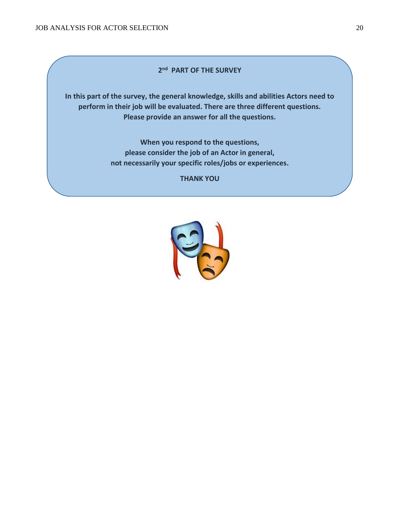## **2 nd PART OF THE SURVEY**

**In this part of the survey, the general knowledge, skills and abilities Actors need to perform in their job will be evaluated. There are three different questions. Please provide an answer for all the questions.**

> **When you respond to the questions, please consider the job of an Actor in general, not necessarily your specific roles/jobs or experiences.**

> > **THANK YOU**

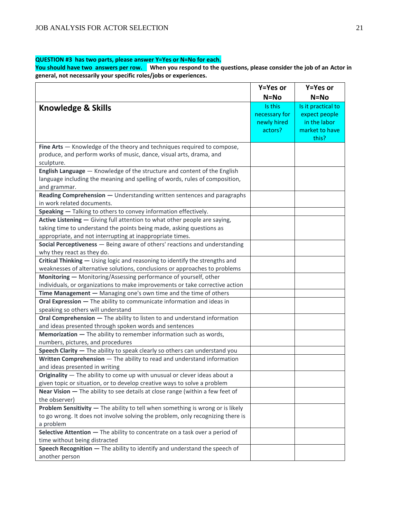### **QUESTION #3 has two parts, please answer Y=Yes or N=No for each.**

**You should have two answers per row.** When you respond to the questions, please consider the job of an Actor in **general, not necessarily your specific roles/jobs or experiences.**

|                                                                                    | <b>Y=Yes or</b> | <b>Y=Yes or</b>    |
|------------------------------------------------------------------------------------|-----------------|--------------------|
|                                                                                    | $N = No$        | $N = No$           |
| <b>Knowledge &amp; Skills</b>                                                      | Is this         | Is it practical to |
|                                                                                    | necessary for   | expect people      |
|                                                                                    | newly hired     | in the labor       |
|                                                                                    | actors?         | market to have     |
|                                                                                    |                 | this?              |
| Fine Arts - Knowledge of the theory and techniques required to compose,            |                 |                    |
| produce, and perform works of music, dance, visual arts, drama, and                |                 |                    |
| sculpture.                                                                         |                 |                    |
| English Language - Knowledge of the structure and content of the English           |                 |                    |
| language including the meaning and spelling of words, rules of composition,        |                 |                    |
| and grammar.                                                                       |                 |                    |
| Reading Comprehension - Understanding written sentences and paragraphs             |                 |                    |
| in work related documents.                                                         |                 |                    |
| Speaking - Talking to others to convey information effectively.                    |                 |                    |
| Active Listening - Giving full attention to what other people are saying,          |                 |                    |
| taking time to understand the points being made, asking questions as               |                 |                    |
| appropriate, and not interrupting at inappropriate times.                          |                 |                    |
| Social Perceptiveness - Being aware of others' reactions and understanding         |                 |                    |
| why they react as they do.                                                         |                 |                    |
| Critical Thinking - Using logic and reasoning to identify the strengths and        |                 |                    |
| weaknesses of alternative solutions, conclusions or approaches to problems         |                 |                    |
| Monitoring - Monitoring/Assessing performance of yourself, other                   |                 |                    |
| individuals, or organizations to make improvements or take corrective action       |                 |                    |
| Time Management - Managing one's own time and the time of others                   |                 |                    |
| Oral Expression - The ability to communicate information and ideas in              |                 |                    |
| speaking so others will understand                                                 |                 |                    |
| Oral Comprehension - The ability to listen to and understand information           |                 |                    |
| and ideas presented through spoken words and sentences                             |                 |                    |
| Memorization - The ability to remember information such as words,                  |                 |                    |
| numbers, pictures, and procedures                                                  |                 |                    |
| Speech Clarity - The ability to speak clearly so others can understand you         |                 |                    |
| Written Comprehension - The ability to read and understand information             |                 |                    |
| and ideas presented in writing                                                     |                 |                    |
| <b>Originality</b> $-$ The ability to come up with unusual or clever ideas about a |                 |                    |
| given topic or situation, or to develop creative ways to solve a problem           |                 |                    |
| Near Vision - The ability to see details at close range (within a few feet of      |                 |                    |
| the observer)                                                                      |                 |                    |
| Problem Sensitivity - The ability to tell when something is wrong or is likely     |                 |                    |
| to go wrong. It does not involve solving the problem, only recognizing there is    |                 |                    |
| a problem                                                                          |                 |                    |
| Selective Attention - The ability to concentrate on a task over a period of        |                 |                    |
| time without being distracted                                                      |                 |                    |
| Speech Recognition - The ability to identify and understand the speech of          |                 |                    |
| another person                                                                     |                 |                    |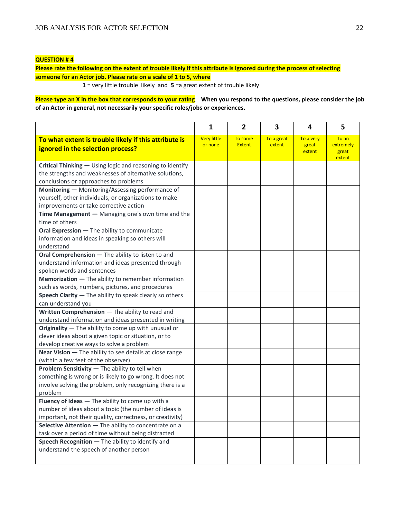#### **QUESTION # 4**

**Please rate the following on the extent of trouble likely if this attribute is ignored during the process of selecting someone for an Actor job. Please rate on a scale of 1 to 5, where** 

**1** = very little trouble likely and **5** =a great extent of trouble likely

**Please type an X in the box that corresponds to your rating**. **When you respond to the questions, please consider the job of an Actor in general, not necessarily your specific roles/jobs or experiences.**

|                                                                                                                                                                                   | $\mathbf{1}$                  | $\overline{2}$           | 3                    | 4                            | 5                                     |
|-----------------------------------------------------------------------------------------------------------------------------------------------------------------------------------|-------------------------------|--------------------------|----------------------|------------------------------|---------------------------------------|
| To what extent is trouble likely if this attribute is<br>ignored in the selection process?                                                                                        | <b>Very little</b><br>or none | To some<br><b>Extent</b> | To a great<br>extent | To a very<br>great<br>extent | To an<br>extremely<br>great<br>extent |
| Critical Thinking - Using logic and reasoning to identify<br>the strengths and weaknesses of alternative solutions,<br>conclusions or approaches to problems                      |                               |                          |                      |                              |                                       |
| Monitoring - Monitoring/Assessing performance of<br>yourself, other individuals, or organizations to make<br>improvements or take corrective action                               |                               |                          |                      |                              |                                       |
| Time Management - Managing one's own time and the<br>time of others                                                                                                               |                               |                          |                      |                              |                                       |
| Oral Expression - The ability to communicate<br>information and ideas in speaking so others will<br>understand                                                                    |                               |                          |                      |                              |                                       |
| Oral Comprehension - The ability to listen to and<br>understand information and ideas presented through<br>spoken words and sentences                                             |                               |                          |                      |                              |                                       |
| Memorization - The ability to remember information<br>such as words, numbers, pictures, and procedures                                                                            |                               |                          |                      |                              |                                       |
| Speech Clarity - The ability to speak clearly so others<br>can understand you                                                                                                     |                               |                          |                      |                              |                                       |
| Written Comprehension - The ability to read and<br>understand information and ideas presented in writing                                                                          |                               |                          |                      |                              |                                       |
| Originality - The ability to come up with unusual or<br>clever ideas about a given topic or situation, or to<br>develop creative ways to solve a problem                          |                               |                          |                      |                              |                                       |
| Near Vision - The ability to see details at close range<br>(within a few feet of the observer)                                                                                    |                               |                          |                      |                              |                                       |
| Problem Sensitivity - The ability to tell when<br>something is wrong or is likely to go wrong. It does not<br>involve solving the problem, only recognizing there is a<br>problem |                               |                          |                      |                              |                                       |
| Fluency of Ideas - The ability to come up with a<br>number of ideas about a topic (the number of ideas is<br>important, not their quality, correctness, or creativity)            |                               |                          |                      |                              |                                       |
| Selective Attention - The ability to concentrate on a<br>task over a period of time without being distracted                                                                      |                               |                          |                      |                              |                                       |
| Speech Recognition - The ability to identify and<br>understand the speech of another person                                                                                       |                               |                          |                      |                              |                                       |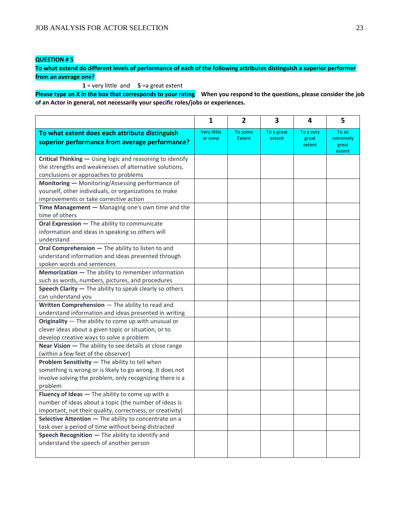#### **QUESTION # 5**

**To what extend do different levels of performance of each of the following attributes distinguish a superior performer from an average one?** 

**1** = very little and **5** =a great extent

**Please type an X in the box that corresponds to your rating**. **When you respond to the questions, please consider the job of an Actor in general, not necessarily your specific roles/jobs or experiences.**

|                                                                                                                                                                                   | 1                             | 2                        | 3                    | 4                            | 5                                     |
|-----------------------------------------------------------------------------------------------------------------------------------------------------------------------------------|-------------------------------|--------------------------|----------------------|------------------------------|---------------------------------------|
| To what extent does each attribute distinguish<br>superior performance from average performance?                                                                                  | <b>Very little</b><br>or none | To some<br><b>Extent</b> | To a great<br>extent | To a very<br>great<br>extent | To an<br>extremely<br>great<br>extent |
| Critical Thinking - Using logic and reasoning to identify<br>the strengths and weaknesses of alternative solutions,<br>conclusions or approaches to problems                      |                               |                          |                      |                              |                                       |
| Monitoring - Monitoring/Assessing performance of<br>yourself, other individuals, or organizations to make<br>improvements or take corrective action                               |                               |                          |                      |                              |                                       |
| Time Management - Managing one's own time and the<br>time of others                                                                                                               |                               |                          |                      |                              |                                       |
| Oral Expression - The ability to communicate<br>information and ideas in speaking so others will<br>understand                                                                    |                               |                          |                      |                              |                                       |
| Oral Comprehension - The ability to listen to and<br>understand information and ideas presented through<br>spoken words and sentences                                             |                               |                          |                      |                              |                                       |
| Memorization - The ability to remember information<br>such as words, numbers, pictures, and procedures                                                                            |                               |                          |                      |                              |                                       |
| Speech Clarity - The ability to speak clearly so others<br>can understand you                                                                                                     |                               |                          |                      |                              |                                       |
| Written Comprehension - The ability to read and<br>understand information and ideas presented in writing                                                                          |                               |                          |                      |                              |                                       |
| Originality - The ability to come up with unusual or<br>clever ideas about a given topic or situation, or to<br>develop creative ways to solve a problem                          |                               |                          |                      |                              |                                       |
| Near Vision - The ability to see details at close range<br>(within a few feet of the observer)                                                                                    |                               |                          |                      |                              |                                       |
| Problem Sensitivity - The ability to tell when<br>something is wrong or is likely to go wrong. It does not<br>involve solving the problem, only recognizing there is a<br>problem |                               |                          |                      |                              |                                       |
| Fluency of Ideas - The ability to come up with a<br>number of ideas about a topic (the number of ideas is<br>important, not their quality, correctness, or creativity)            |                               |                          |                      |                              |                                       |
| Selective Attention - The ability to concentrate on a<br>task over a period of time without being distracted                                                                      |                               |                          |                      |                              |                                       |
| Speech Recognition - The ability to identify and<br>understand the speech of another person                                                                                       |                               |                          |                      |                              |                                       |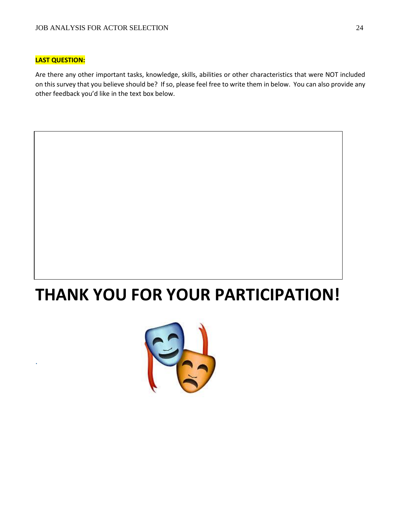#### **LAST QUESTION:**

.

Are there any other important tasks, knowledge, skills, abilities or other characteristics that were NOT included on this survey that you believe should be? If so, please feel free to write them in below. You can also provide any other feedback you'd like in the text box below.

# **THANK YOU FOR YOUR PARTICIPATION!**

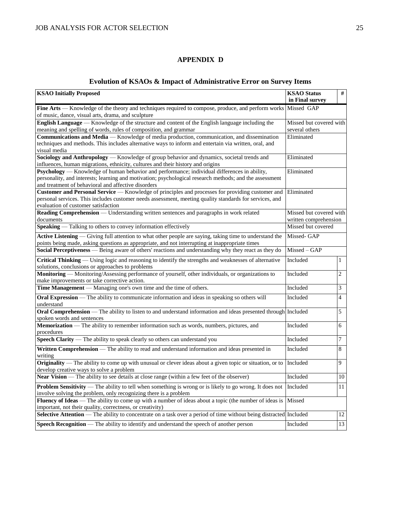## **APPENDIX D**

## **Evolution of KSAOs & Impact of Administrative Error on Survey Items**

| <b>KSAO Initially Proposed</b>                                                                                                              | <b>KSAO Status</b><br>in Final survey | #              |
|---------------------------------------------------------------------------------------------------------------------------------------------|---------------------------------------|----------------|
| Fine Arts — Knowledge of the theory and techniques required to compose, produce, and perform works                                          | Missed GAP                            |                |
| of music, dance, visual arts, drama, and sculpture                                                                                          |                                       |                |
| English Language - Knowledge of the structure and content of the English language including the                                             | Missed but covered with               |                |
| meaning and spelling of words, rules of composition, and grammar                                                                            | several others                        |                |
| Communications and Media — Knowledge of media production, communication, and dissemination                                                  | Eliminated                            |                |
| techniques and methods. This includes alternative ways to inform and entertain via written, oral, and                                       |                                       |                |
| visual media                                                                                                                                |                                       |                |
| Sociology and Anthropology — Knowledge of group behavior and dynamics, societal trends and                                                  | Eliminated                            |                |
| influences, human migrations, ethnicity, cultures and their history and origins                                                             |                                       |                |
| Psychology — Knowledge of human behavior and performance; individual differences in ability,                                                | Eliminated                            |                |
| personality, and interests; learning and motivation; psychological research methods; and the assessment                                     |                                       |                |
| and treatment of behavioral and affective disorders                                                                                         |                                       |                |
| Customer and Personal Service — Knowledge of principles and processes for providing customer and                                            | Eliminated                            |                |
| personal services. This includes customer needs assessment, meeting quality standards for services, and                                     |                                       |                |
| evaluation of customer satisfaction                                                                                                         |                                       |                |
| Reading Comprehension — Understanding written sentences and paragraphs in work related                                                      | Missed but covered with               |                |
| documents                                                                                                                                   | written comprehension                 |                |
| <b>Speaking</b> — Talking to others to convey information effectively                                                                       | Missed but covered                    |                |
| Active Listening — Giving full attention to what other people are saying, taking time to understand the                                     | Missed- GAP                           |                |
| points being made, asking questions as appropriate, and not interrupting at inappropriate times                                             |                                       |                |
| <b>Social Perceptiveness</b> — Being aware of others' reactions and understanding why they react as they do                                 | Missed - GAP                          |                |
|                                                                                                                                             |                                       |                |
| Critical Thinking — Using logic and reasoning to identify the strengths and weaknesses of alternative                                       | Included                              | $\mathbf{1}$   |
| solutions, conclusions or approaches to problems                                                                                            |                                       |                |
| Monitoring - Monitoring/Assessing performance of yourself, other individuals, or organizations to                                           | Included                              | 2              |
| make improvements or take corrective action.                                                                                                |                                       |                |
| Time Management — Managing one's own time and the time of others.                                                                           | Included                              | 3              |
| Oral Expression — The ability to communicate information and ideas in speaking so others will                                               | Included                              | $\overline{4}$ |
| understand                                                                                                                                  |                                       |                |
| Oral Comprehension — The ability to listen to and understand information and ideas presented through Included<br>spoken words and sentences |                                       | 5              |
| Memorization — The ability to remember information such as words, numbers, pictures, and                                                    | Included                              | 6              |
| procedures                                                                                                                                  |                                       |                |
| Speech Clarity — The ability to speak clearly so others can understand you                                                                  | Included                              | 7              |
| Written Comprehension — The ability to read and understand information and ideas presented in                                               | Included                              | 8              |
| writing                                                                                                                                     |                                       |                |
| Originality — The ability to come up with unusual or clever ideas about a given topic or situation, or to                                   | Included                              | 9              |
| develop creative ways to solve a problem                                                                                                    |                                       |                |
| Near Vision — The ability to see details at close range (within a few feet of the observer)                                                 | Included                              | 10             |
| Problem Sensitivity — The ability to tell when something is wrong or is likely to go wrong. It does not                                     | Included                              | 11             |
| involve solving the problem, only recognizing there is a problem                                                                            |                                       |                |
| <b>Fluency of Ideas</b> — The ability to come up with a number of ideas about a topic (the number of ideas is Missed                        |                                       |                |
| important, not their quality, correctness, or creativity)                                                                                   |                                       |                |
| Selective Attention — The ability to concentrate on a task over a period of time without being distracted Included                          |                                       | 12             |
| Speech Recognition - The ability to identify and understand the speech of another person                                                    | Included                              | 13             |